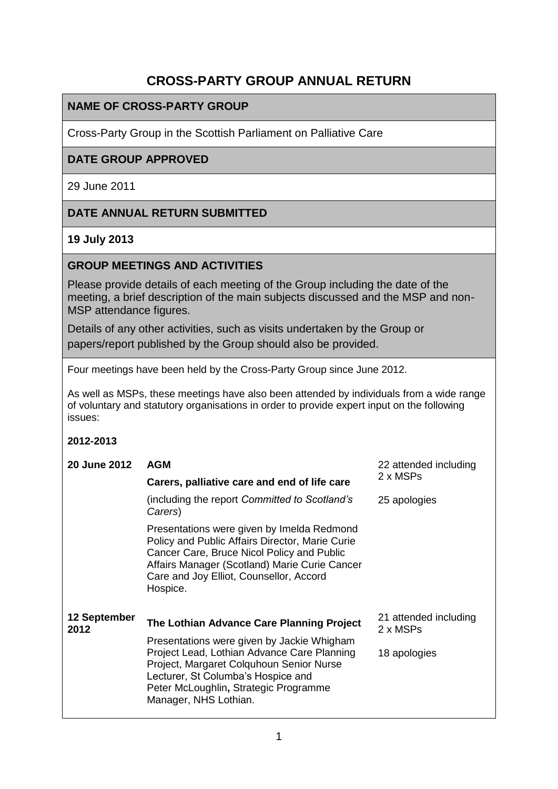# **CROSS-PARTY GROUP ANNUAL RETURN**

# **NAME OF CROSS-PARTY GROUP**

Cross-Party Group in the Scottish Parliament on Palliative Care

### **DATE GROUP APPROVED**

29 June 2011

# **DATE ANNUAL RETURN SUBMITTED**

### **19 July 2013**

### **GROUP MEETINGS AND ACTIVITIES**

Please provide details of each meeting of the Group including the date of the meeting, a brief description of the main subjects discussed and the MSP and non-MSP attendance figures.

Details of any other activities, such as visits undertaken by the Group or papers/report published by the Group should also be provided.

Four meetings have been held by the Cross-Party Group since June 2012.

As well as MSPs, these meetings have also been attended by individuals from a wide range of voluntary and statutory organisations in order to provide expert input on the following issues:

#### **2012-2013**

| <b>20 June 2012</b>  | <b>AGM</b>                                                                                                                                                                                                                                          | 22 attended including             |
|----------------------|-----------------------------------------------------------------------------------------------------------------------------------------------------------------------------------------------------------------------------------------------------|-----------------------------------|
|                      | Carers, palliative care and end of life care                                                                                                                                                                                                        | 2 x MSPs                          |
|                      | (including the report Committed to Scotland's<br>Carers)                                                                                                                                                                                            | 25 apologies                      |
|                      | Presentations were given by Imelda Redmond<br>Policy and Public Affairs Director, Marie Curie<br>Cancer Care, Bruce Nicol Policy and Public<br>Affairs Manager (Scotland) Marie Curie Cancer<br>Care and Joy Elliot, Counsellor, Accord<br>Hospice. |                                   |
| 12 September<br>2012 | The Lothian Advance Care Planning Project                                                                                                                                                                                                           | 21 attended including<br>2 x MSPs |
|                      | Presentations were given by Jackie Whigham<br>Project Lead, Lothian Advance Care Planning<br>Project, Margaret Colquhoun Senior Nurse<br>Lecturer, St Columba's Hospice and<br>Peter McLoughlin, Strategic Programme<br>Manager, NHS Lothian.       | 18 apologies                      |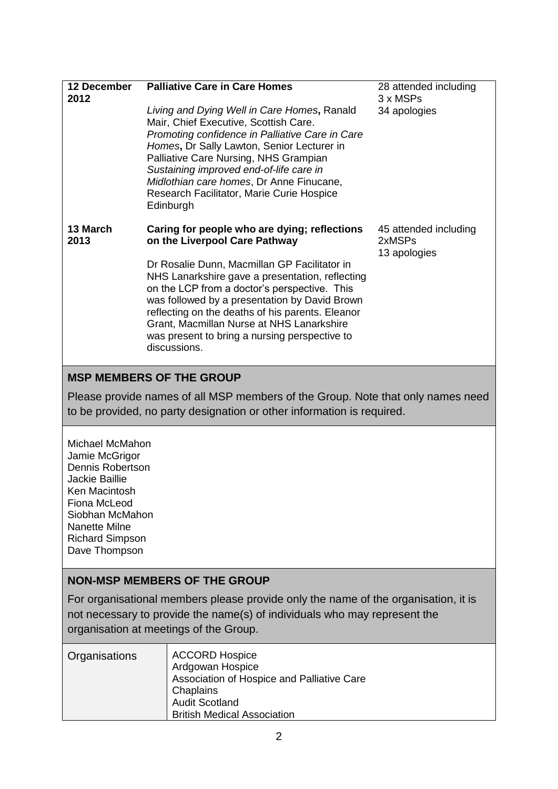| 12 December<br>2012                                                                                                                                                                                       | <b>Palliative Care in Care Homes</b><br>Living and Dying Well in Care Homes, Ranald<br>Mair, Chief Executive, Scottish Care.<br>Promoting confidence in Palliative Care in Care<br>Homes, Dr Sally Lawton, Senior Lecturer in<br>Palliative Care Nursing, NHS Grampian<br>Sustaining improved end-of-life care in<br>Midlothian care homes, Dr Anne Finucane,<br>Research Facilitator, Marie Curie Hospice<br>Edinburgh                             | 28 attended including<br>3 x MSPs<br>34 apologies |
|-----------------------------------------------------------------------------------------------------------------------------------------------------------------------------------------------------------|-----------------------------------------------------------------------------------------------------------------------------------------------------------------------------------------------------------------------------------------------------------------------------------------------------------------------------------------------------------------------------------------------------------------------------------------------------|---------------------------------------------------|
| 13 March<br>2013                                                                                                                                                                                          | Caring for people who are dying; reflections<br>on the Liverpool Care Pathway<br>Dr Rosalie Dunn, Macmillan GP Facilitator in<br>NHS Lanarkshire gave a presentation, reflecting<br>on the LCP from a doctor's perspective. This<br>was followed by a presentation by David Brown<br>reflecting on the deaths of his parents. Eleanor<br>Grant, Macmillan Nurse at NHS Lanarkshire<br>was present to bring a nursing perspective to<br>discussions. | 45 attended including<br>2xMSPs<br>13 apologies   |
| <b>MSP MEMBERS OF THE GROUP</b><br>Please provide names of all MSP members of the Group. Note that only names need<br>to be provided, no party designation or other information is required.              |                                                                                                                                                                                                                                                                                                                                                                                                                                                     |                                                   |
| Michael McMahon<br>Jamie McGrigor<br><b>Dennis Robertson</b><br>Jackie Baillie<br>Ken Macintosh<br>Fiona McLeod<br>Siobhan McMahon<br>Nanette Milne<br><b>Richard Simpson</b><br>Dave Thompson            |                                                                                                                                                                                                                                                                                                                                                                                                                                                     |                                                   |
| <b>NON-MSP MEMBERS OF THE GROUP</b>                                                                                                                                                                       |                                                                                                                                                                                                                                                                                                                                                                                                                                                     |                                                   |
| For organisational members please provide only the name of the organisation, it is<br>not necessary to provide the name(s) of individuals who may represent the<br>organisation at meetings of the Group. |                                                                                                                                                                                                                                                                                                                                                                                                                                                     |                                                   |
| Organisations                                                                                                                                                                                             | <b>ACCORD Hospice</b><br>Ardgowan Hospice<br>Association of Hospice and Palliative Care<br>Chaplains<br><b>Audit Scotland</b>                                                                                                                                                                                                                                                                                                                       |                                                   |

British Medical Association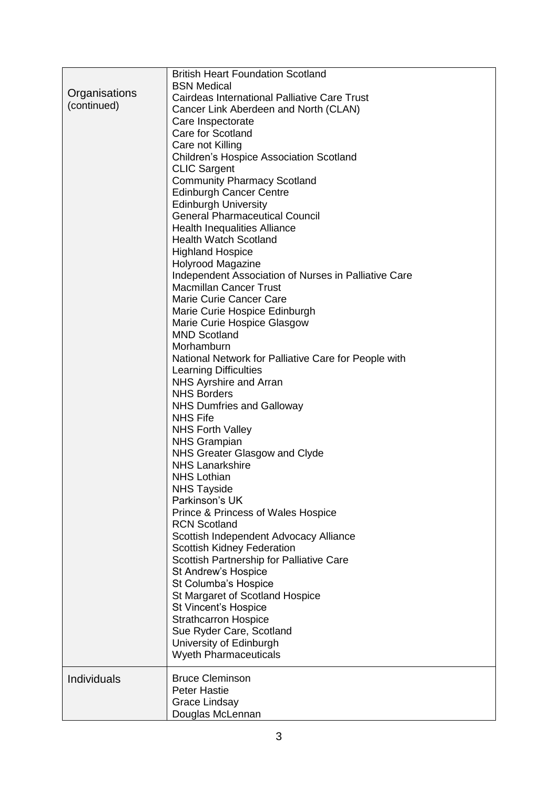|               | <b>British Heart Foundation Scotland</b>             |
|---------------|------------------------------------------------------|
| Organisations | <b>BSN Medical</b>                                   |
| (continued)   | Cairdeas International Palliative Care Trust         |
|               | Cancer Link Aberdeen and North (CLAN)                |
|               | Care Inspectorate                                    |
|               | Care for Scotland                                    |
|               | Care not Killing                                     |
|               | <b>Children's Hospice Association Scotland</b>       |
|               | <b>CLIC Sargent</b>                                  |
|               | <b>Community Pharmacy Scotland</b>                   |
|               | <b>Edinburgh Cancer Centre</b>                       |
|               | <b>Edinburgh University</b>                          |
|               | <b>General Pharmaceutical Council</b>                |
|               | <b>Health Inequalities Alliance</b>                  |
|               | <b>Health Watch Scotland</b>                         |
|               | <b>Highland Hospice</b>                              |
|               | <b>Holyrood Magazine</b>                             |
|               | Independent Association of Nurses in Palliative Care |
|               | <b>Macmillan Cancer Trust</b>                        |
|               | Marie Curie Cancer Care                              |
|               | Marie Curie Hospice Edinburgh                        |
|               | Marie Curie Hospice Glasgow                          |
|               | <b>MND Scotland</b>                                  |
|               | Morhamburn                                           |
|               | National Network for Palliative Care for People with |
|               | Learning Difficulties                                |
|               | NHS Ayrshire and Arran                               |
|               | <b>NHS Borders</b>                                   |
|               | <b>NHS Dumfries and Galloway</b>                     |
|               | <b>NHS Fife</b>                                      |
|               | <b>NHS Forth Valley</b>                              |
|               | <b>NHS Grampian</b>                                  |
|               | NHS Greater Glasgow and Clyde                        |
|               | <b>NHS Lanarkshire</b>                               |
|               | <b>NHS Lothian</b>                                   |
|               | <b>NHS Tayside</b>                                   |
|               | Parkinson's UK                                       |
|               | Prince & Princess of Wales Hospice                   |
|               | <b>RCN Scotland</b>                                  |
|               | Scottish Independent Advocacy Alliance               |
|               | Scottish Kidney Federation                           |
|               | Scottish Partnership for Palliative Care             |
|               | St Andrew's Hospice                                  |
|               | St Columba's Hospice                                 |
|               | St Margaret of Scotland Hospice                      |
|               | St Vincent's Hospice                                 |
|               | <b>Strathcarron Hospice</b>                          |
|               | Sue Ryder Care, Scotland                             |
|               | University of Edinburgh                              |
|               | <b>Wyeth Pharmaceuticals</b>                         |
| Individuals   | <b>Bruce Cleminson</b>                               |
|               | <b>Peter Hastie</b>                                  |
|               | Grace Lindsay                                        |
|               | Douglas McLennan                                     |
|               |                                                      |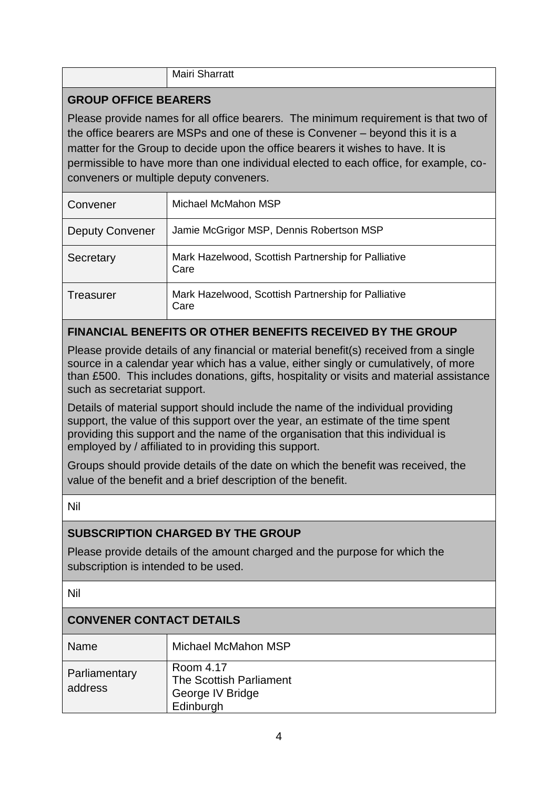|  | $\sim$<br>Mairi<br>arratt<br>. .<br>_____ |
|--|-------------------------------------------|
|--|-------------------------------------------|

# **GROUP OFFICE BEARERS**

Please provide names for all office bearers. The minimum requirement is that two of the office bearers are MSPs and one of these is Convener – beyond this it is a matter for the Group to decide upon the office bearers it wishes to have. It is permissible to have more than one individual elected to each office, for example, coconveners or multiple deputy conveners.

| Convener               | Michael McMahon MSP                                         |
|------------------------|-------------------------------------------------------------|
| <b>Deputy Convener</b> | Jamie McGrigor MSP, Dennis Robertson MSP                    |
| Secretary              | Mark Hazelwood, Scottish Partnership for Palliative<br>Care |
| Treasurer              | Mark Hazelwood, Scottish Partnership for Palliative<br>Care |

# **FINANCIAL BENEFITS OR OTHER BENEFITS RECEIVED BY THE GROUP**

Please provide details of any financial or material benefit(s) received from a single source in a calendar year which has a value, either singly or cumulatively, of more than £500. This includes donations, gifts, hospitality or visits and material assistance such as secretariat support.

Details of material support should include the name of the individual providing support, the value of this support over the year, an estimate of the time spent providing this support and the name of the organisation that this individual is employed by / affiliated to in providing this support.

Groups should provide details of the date on which the benefit was received, the value of the benefit and a brief description of the benefit.

Nil

# **SUBSCRIPTION CHARGED BY THE GROUP**

Please provide details of the amount charged and the purpose for which the subscription is intended to be used.

Nil

# **CONVENER CONTACT DETAILS**

| Name                     | Michael McMahon MSP                                                   |
|--------------------------|-----------------------------------------------------------------------|
| Parliamentary<br>address | Room 4.17<br>The Scottish Parliament<br>George IV Bridge<br>Edinburgh |